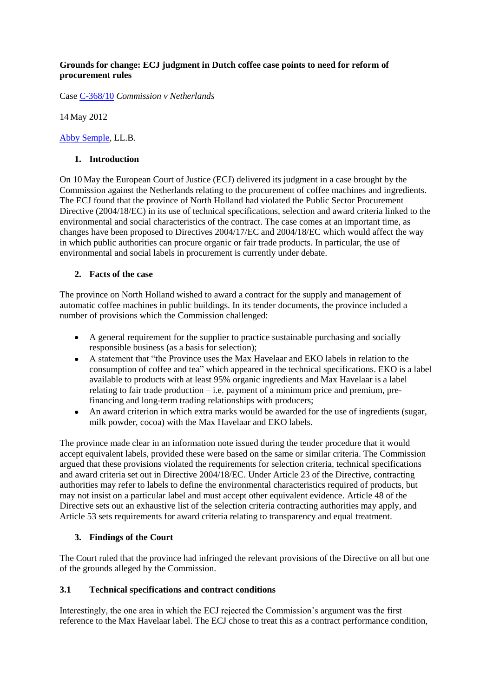#### **Grounds for change: ECJ judgment in Dutch coffee case points to need for reform of procurement rules**

Case [C-368/10](http://curia.europa.eu/juris/liste.jsf?pro=&nat=&oqp=&dates=&lg=&language=en&jur=C%2CT%2CF&cit=none%252CC%252CCJ%252CR%252C2008E%252C%252C%252C%252C%252C%252C%252C%252C%252C%252Ctrue%252Cfalse%252Cfalse&num=C-368%252F10&td=ALL&pcs=O&avg=&page=1&mat=or&jge=) *Commission v Netherlands*

14 May 2012

[Abby Semple,](mailto:abby.semple@gmail.com) LL.B.

#### **1. Introduction**

On 10 May the European Court of Justice (ECJ) delivered its judgment in a case brought by the Commission against the Netherlands relating to the procurement of coffee machines and ingredients. The ECJ found that the province of North Holland had violated the Public Sector Procurement Directive (2004/18/EC) in its use of technical specifications, selection and award criteria linked to the environmental and social characteristics of the contract. The case comes at an important time, as changes have been proposed to Directives 2004/17/EC and 2004/18/EC which would affect the way in which public authorities can procure organic or fair trade products. In particular, the use of environmental and social labels in procurement is currently under debate.

## **2. Facts of the case**

The province on North Holland wished to award a contract for the supply and management of automatic coffee machines in public buildings. In its tender documents, the province included a number of provisions which the Commission challenged:

- A general requirement for the supplier to practice sustainable purchasing and socially responsible business (as a basis for selection);
- A statement that "the Province uses the Max Havelaar and EKO labels in relation to the consumption of coffee and tea" which appeared in the technical specifications. EKO is a label available to products with at least 95% organic ingredients and Max Havelaar is a label relating to fair trade production – i.e. payment of a minimum price and premium, prefinancing and long-term trading relationships with producers;
- An award criterion in which extra marks would be awarded for the use of ingredients (sugar,  $\bullet$ milk powder, cocoa) with the Max Havelaar and EKO labels.

The province made clear in an information note issued during the tender procedure that it would accept equivalent labels, provided these were based on the same or similar criteria. The Commission argued that these provisions violated the requirements for selection criteria, technical specifications and award criteria set out in Directive 2004/18/EC. Under Article 23 of the Directive, contracting authorities may refer to labels to define the environmental characteristics required of products, but may not insist on a particular label and must accept other equivalent evidence. Article 48 of the Directive sets out an exhaustive list of the selection criteria contracting authorities may apply, and Article 53 sets requirements for award criteria relating to transparency and equal treatment.

## **3. Findings of the Court**

The Court ruled that the province had infringed the relevant provisions of the Directive on all but one of the grounds alleged by the Commission.

## **3.1 Technical specifications and contract conditions**

Interestingly, the one area in which the ECJ rejected the Commission's argument was the first reference to the Max Havelaar label. The ECJ chose to treat this as a contract performance condition,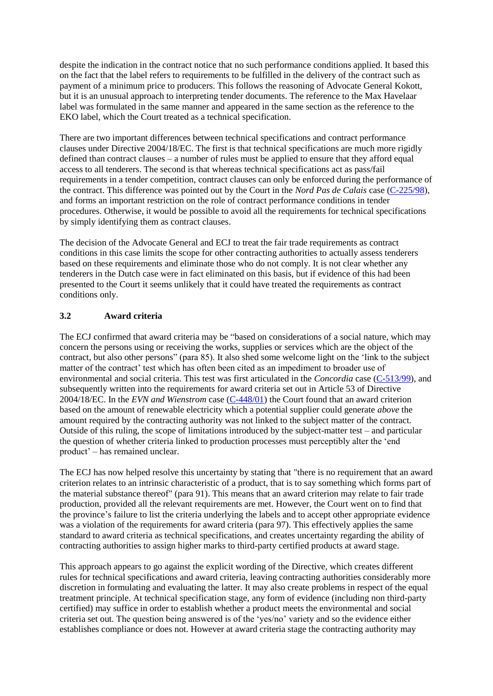despite the indication in the contract notice that no such performance conditions applied. It based this on the fact that the label refers to requirements to be fulfilled in the delivery of the contract such as payment of a minimum price to producers. This follows the reasoning of Advocate General Kokott, but it is an unusual approach to interpreting tender documents. The reference to the Max Havelaar label was formulated in the same manner and appeared in the same section as the reference to the EKO label, which the Court treated as a technical specification.

There are two important differences between technical specifications and contract performance clauses under Directive 2004/18/EC. The first is that technical specifications are much more rigidly defined than contract clauses – a number of rules must be applied to ensure that they afford equal access to all tenderers. The second is that whereas technical specifications act as pass/fail requirements in a tender competition, contract clauses can only be enforced during the performance of the contract. This difference was pointed out by the Court in the *Nord Pas de Calais* case [\(C-225/98\)](http://curia.europa.eu/juris/liste.jsf?pro=&nat=&oqp=&dates=&lg=&language=en&jur=C%2CT%2CF&cit=none%252CC%252CCJ%252CR%252C2008E%252C%252C%252C%252C%252C%252C%252C%252C%252C%252Ctrue%252Cfalse%252Cfalse&num=C-225%252F98&td=ALL&pcs=O&avg=&page=1&mat=or&jge=), and forms an important restriction on the role of contract performance conditions in tender procedures. Otherwise, it would be possible to avoid all the requirements for technical specifications by simply identifying them as contract clauses.

The decision of the Advocate General and ECJ to treat the fair trade requirements as contract conditions in this case limits the scope for other contracting authorities to actually assess tenderers based on these requirements and eliminate those who do not comply. It is not clear whether any tenderers in the Dutch case were in fact eliminated on this basis, but if evidence of this had been presented to the Court it seems unlikely that it could have treated the requirements as contract conditions only.

## **3.2 Award criteria**

The ECJ confirmed that award criteria may be "based on considerations of a social nature, which may concern the persons using or receiving the works, supplies or services which are the object of the contract, but also other persons" (para 85). It also shed some welcome light on the 'link to the subject matter of the contract' test which has often been cited as an impediment to broader use of environmental and social criteria. This test was first articulated in the *Concordia* case [\(C-513/99\)](http://curia.europa.eu/juris/liste.jsf?pro=&nat=&oqp=&dates=&lg=&language=en&jur=C%2CT%2CF&cit=none%252CC%252CCJ%252CR%252C2008E%252C%252C%252C%252C%252C%252C%252C%252C%252C%252Ctrue%252Cfalse%252Cfalse&num=C-513%252F99&td=ALL&pcs=O&avg=&page=1&mat=or&jge=), and subsequently written into the requirements for award criteria set out in Article 53 of Directive 2004/18/EC. In the *EVN and Wienstrom* case [\(C-448/01\)](http://curia.europa.eu/juris/liste.jsf?pro=&nat=&oqp=&dates=&lg=&language=en&jur=C%2CT%2CF&cit=none%252CC%252CCJ%252CR%252C2008E%252C%252C%252C%252C%252C%252C%252C%252C%252C%252Ctrue%252Cfalse%252Cfalse&num=C-448%252F01&td=ALL&pcs=O&avg=&page=1&mat=or&jge=) the Court found that an award criterion based on the amount of renewable electricity which a potential supplier could generate *above* the amount required by the contracting authority was not linked to the subject matter of the contract. Outside of this ruling, the scope of limitations introduced by the subject-matter test – and particular the question of whether criteria linked to production processes must perceptibly alter the 'end product' – has remained unclear.

The ECJ has now helped resolve this uncertainty by stating that "there is no requirement that an award criterion relates to an intrinsic characteristic of a product, that is to say something which forms part of the material substance thereof" (para 91). This means that an award criterion may relate to fair trade production, provided all the relevant requirements are met. However, the Court went on to find that the province's failure to list the criteria underlying the labels and to accept other appropriate evidence was a violation of the requirements for award criteria (para 97). This effectively applies the same standard to award criteria as technical specifications, and creates uncertainty regarding the ability of contracting authorities to assign higher marks to third-party certified products at award stage.

This approach appears to go against the explicit wording of the Directive, which creates different rules for technical specifications and award criteria, leaving contracting authorities considerably more discretion in formulating and evaluating the latter. It may also create problems in respect of the equal treatment principle. At technical specification stage, any form of evidence (including non third-party certified) may suffice in order to establish whether a product meets the environmental and social criteria set out. The question being answered is of the 'yes/no' variety and so the evidence either establishes compliance or does not. However at award criteria stage the contracting authority may